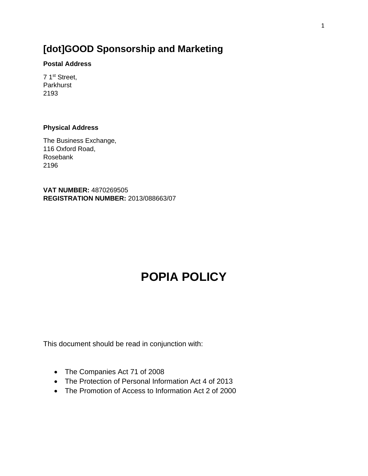## **[dot]GOOD Sponsorship and Marketing**

#### **Postal Address**

7 1st Street, Parkhurst 2193

### **Physical Address**

The Business Exchange, 116 Oxford Road, Rosebank 2196

**VAT NUMBER:** 4870269505 **REGISTRATION NUMBER:** 2013/088663/07

# **POPIA POLICY**

This document should be read in conjunction with:

- The Companies Act 71 of 2008
- The Protection of Personal Information Act 4 of 2013
- The Promotion of Access to Information Act 2 of 2000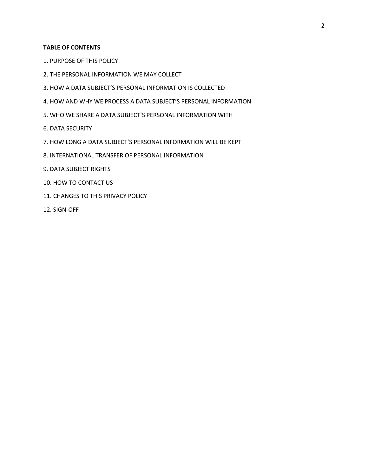#### **TABLE OF CONTENTS**

- 1. PURPOSE OF THIS POLICY
- 2. THE PERSONAL INFORMATION WE MAY COLLECT
- 3. HOW A DATA SUBJECT'S PERSONAL INFORMATION IS COLLECTED
- 4. HOW AND WHY WE PROCESS A DATA SUBJECT'S PERSONAL INFORMATION
- 5. WHO WE SHARE A DATA SUBJECT'S PERSONAL INFORMATION WITH
- 6. DATA SECURITY
- 7. HOW LONG A DATA SUBJECT'S PERSONAL INFORMATION WILL BE KEPT
- 8. INTERNATIONAL TRANSFER OF PERSONAL INFORMATION
- 9. DATA SUBJECT RIGHTS
- 10. HOW TO CONTACT US
- 11. CHANGES TO THIS PRIVACY POLICY
- 12. SIGN-OFF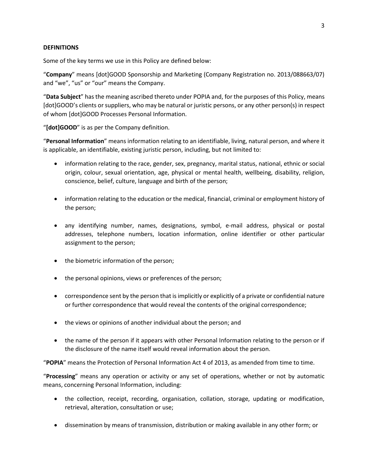#### **DEFINITIONS**

Some of the key terms we use in this Policy are defined below:

"**Company**" means [dot]GOOD Sponsorship and Marketing (Company Registration no. 2013/088663/07) and "we", "us" or "our" means the Company.

"**Data Subject**" has the meaning ascribed thereto under POPIA and, for the purposes of this Policy, means [dot]GOOD's clients or suppliers, who may be natural or juristic persons, or any other person(s) in respect of whom [dot]GOOD Processes Personal Information.

"**[dot]GOOD**" is as per the Company definition.

"**Personal Information**" means information relating to an identifiable, living, natural person, and where it is applicable, an identifiable, existing juristic person, including, but not limited to:

- information relating to the race, gender, sex, pregnancy, marital status, national, ethnic or social origin, colour, sexual orientation, age, physical or mental health, wellbeing, disability, religion, conscience, belief, culture, language and birth of the person;
- information relating to the education or the medical, financial, criminal or employment history of the person;
- any identifying number, names, designations, symbol, e-mail address, physical or postal addresses, telephone numbers, location information, online identifier or other particular assignment to the person;
- the biometric information of the person;
- the personal opinions, views or preferences of the person;
- correspondence sent by the person that is implicitly or explicitly of a private or confidential nature or further correspondence that would reveal the contents of the original correspondence;
- the views or opinions of another individual about the person; and
- the name of the person if it appears with other Personal Information relating to the person or if the disclosure of the name itself would reveal information about the person.

"**POPIA**" means the Protection of Personal Information Act 4 of 2013, as amended from time to time.

"**Processing**" means any operation or activity or any set of operations, whether or not by automatic means, concerning Personal Information, including:

- the collection, receipt, recording, organisation, collation, storage, updating or modification, retrieval, alteration, consultation or use;
- dissemination by means of transmission, distribution or making available in any other form; or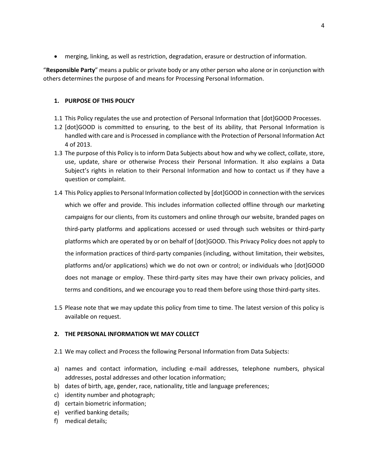• merging, linking, as well as restriction, degradation, erasure or destruction of information.

"**Responsible Party**" means a public or private body or any other person who alone or in conjunction with others determines the purpose of and means for Processing Personal Information.

#### **1. PURPOSE OF THIS POLICY**

- 1.1 This Policy regulates the use and protection of Personal Information that [dot]GOOD Processes.
- 1.2 [dot]GOOD is committed to ensuring, to the best of its ability, that Personal Information is handled with care and is Processed in compliance with the Protection of Personal Information Act 4 of 2013.
- 1.3 The purpose of this Policy is to inform Data Subjects about how and why we collect, collate, store, use, update, share or otherwise Process their Personal Information. It also explains a Data Subject's rights in relation to their Personal Information and how to contact us if they have a question or complaint.
- 1.4 This Policy applies to Personal Information collected by [dot]GOOD in connection with the services which we offer and provide. This includes information collected offline through our marketing campaigns for our clients, from its customers and online through our website, branded pages on third-party platforms and applications accessed or used through such websites or third-party platforms which are operated by or on behalf of [dot]GOOD. This Privacy Policy does not apply to the information practices of third-party companies (including, without limitation, their websites, platforms and/or applications) which we do not own or control; or individuals who [dot]GOOD does not manage or employ. These third-party sites may have their own privacy policies, and terms and conditions, and we encourage you to read them before using those third-party sites.
- 1.5 Please note that we may update this policy from time to time. The latest version of this policy is available on request.

#### **2. THE PERSONAL INFORMATION WE MAY COLLECT**

- 2.1 We may collect and Process the following Personal Information from Data Subjects:
- a) names and contact information, including e-mail addresses, telephone numbers, physical addresses, postal addresses and other location information;
- b) dates of birth, age, gender, race, nationality, title and language preferences;
- c) identity number and photograph;
- d) certain biometric information;
- e) verified banking details;
- f) medical details;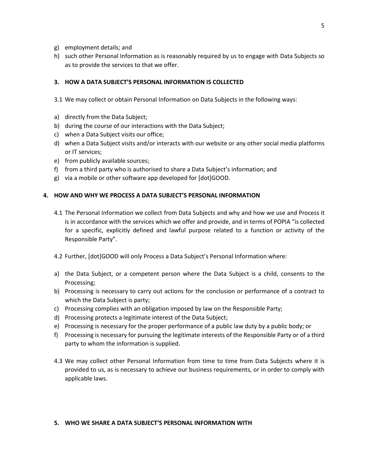- g) employment details; and
- h) such other Personal Information as is reasonably required by us to engage with Data Subjects so as to provide the services to that we offer.

#### **3. HOW A DATA SUBJECT'S PERSONAL INFORMATION IS COLLECTED**

- 3.1 We may collect or obtain Personal Information on Data Subjects in the following ways:
- a) directly from the Data Subject;
- b) during the course of our interactions with the Data Subject;
- c) when a Data Subject visits our office;
- d) when a Data Subject visits and/or interacts with our website or any other social media platforms or IT services;
- e) from publicly available sources;
- f) from a third party who is authorised to share a Data Subject's information; and
- g) via a mobile or other software app developed for [dot]GOOD.

#### **4. HOW AND WHY WE PROCESS A DATA SUBJECT'S PERSONAL INFORMATION**

- 4.1 The Personal Information we collect from Data Subjects and why and how we use and Process it is in accordance with the services which we offer and provide, and in terms of POPIA "is collected for a specific, explicitly defined and lawful purpose related to a function or activity of the Responsible Party".
- 4.2 Further, [dot]GOOD will only Process a Data Subject's Personal Information where:
- a) the Data Subject, or a competent person where the Data Subject is a child, consents to the Processing;
- b) Processing is necessary to carry out actions for the conclusion or performance of a contract to which the Data Subject is party;
- c) Processing complies with an obligation imposed by law on the Responsible Party;
- d) Processing protects a legitimate interest of the Data Subject;
- e) Processing is necessary for the proper performance of a public law duty by a public body; or
- f) Processing is necessary for pursuing the legitimate interests of the Responsible Party or of a third party to whom the information is supplied.
- 4.3 We may collect other Personal Information from time to time from Data Subjects where it is provided to us, as is necessary to achieve our business requirements, or in order to comply with applicable laws.

#### **5. WHO WE SHARE A DATA SUBJECT'S PERSONAL INFORMATION WITH**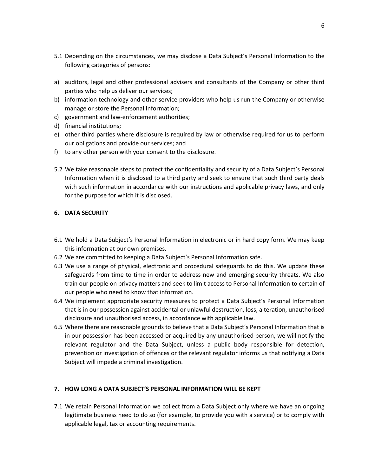- 5.1 Depending on the circumstances, we may disclose a Data Subject's Personal Information to the following categories of persons:
- a) auditors, legal and other professional advisers and consultants of the Company or other third parties who help us deliver our services;
- b) information technology and other service providers who help us run the Company or otherwise manage or store the Personal Information;
- c) government and law-enforcement authorities;
- d) financial institutions;
- e) other third parties where disclosure is required by law or otherwise required for us to perform our obligations and provide our services; and
- f) to any other person with your consent to the disclosure.
- 5.2 We take reasonable steps to protect the confidentiality and security of a Data Subject's Personal Information when it is disclosed to a third party and seek to ensure that such third party deals with such information in accordance with our instructions and applicable privacy laws, and only for the purpose for which it is disclosed.

#### **6. DATA SECURITY**

- 6.1 We hold a Data Subject's Personal Information in electronic or in hard copy form. We may keep this information at our own premises.
- 6.2 We are committed to keeping a Data Subject's Personal Information safe.
- 6.3 We use a range of physical, electronic and procedural safeguards to do this. We update these safeguards from time to time in order to address new and emerging security threats. We also train our people on privacy matters and seek to limit access to Personal Information to certain of our people who need to know that information.
- 6.4 We implement appropriate security measures to protect a Data Subject's Personal Information that is in our possession against accidental or unlawful destruction, loss, alteration, unauthorised disclosure and unauthorised access, in accordance with applicable law.
- 6.5 Where there are reasonable grounds to believe that a Data Subject's Personal Information that is in our possession has been accessed or acquired by any unauthorised person, we will notify the relevant regulator and the Data Subject, unless a public body responsible for detection, prevention or investigation of offences or the relevant regulator informs us that notifying a Data Subject will impede a criminal investigation.

#### **7. HOW LONG A DATA SUBJECT'S PERSONAL INFORMATION WILL BE KEPT**

7.1 We retain Personal Information we collect from a Data Subject only where we have an ongoing legitimate business need to do so (for example, to provide you with a service) or to comply with applicable legal, tax or accounting requirements.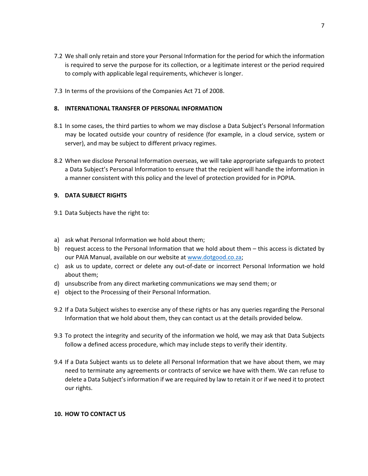- 7.2 We shall only retain and store your Personal Information for the period for which the information is required to serve the purpose for its collection, or a legitimate interest or the period required to comply with applicable legal requirements, whichever is longer.
- 7.3 In terms of the provisions of the Companies Act 71 of 2008.

#### **8. INTERNATIONAL TRANSFER OF PERSONAL INFORMATION**

- 8.1 In some cases, the third parties to whom we may disclose a Data Subject's Personal Information may be located outside your country of residence (for example, in a cloud service, system or server), and may be subject to different privacy regimes.
- 8.2 When we disclose Personal Information overseas, we will take appropriate safeguards to protect a Data Subject's Personal Information to ensure that the recipient will handle the information in a manner consistent with this policy and the level of protection provided for in POPIA.

#### **9. DATA SUBJECT RIGHTS**

- 9.1 Data Subjects have the right to:
- a) ask what Personal Information we hold about them;
- b) request access to the Personal Information that we hold about them this access is dictated by our PAIA Manual, available on our website at [www.dotgood.co.za;](http://www.dotgood.co.za/)
- c) ask us to update, correct or delete any out-of-date or incorrect Personal Information we hold about them;
- d) unsubscribe from any direct marketing communications we may send them; or
- e) object to the Processing of their Personal Information.
- 9.2 If a Data Subject wishes to exercise any of these rights or has any queries regarding the Personal Information that we hold about them, they can contact us at the details provided below.
- 9.3 To protect the integrity and security of the information we hold, we may ask that Data Subjects follow a defined access procedure, which may include steps to verify their identity.
- 9.4 If a Data Subject wants us to delete all Personal Information that we have about them, we may need to terminate any agreements or contracts of service we have with them. We can refuse to delete a Data Subject's information if we are required by law to retain it or if we need it to protect our rights.

#### **10. HOW TO CONTACT US**